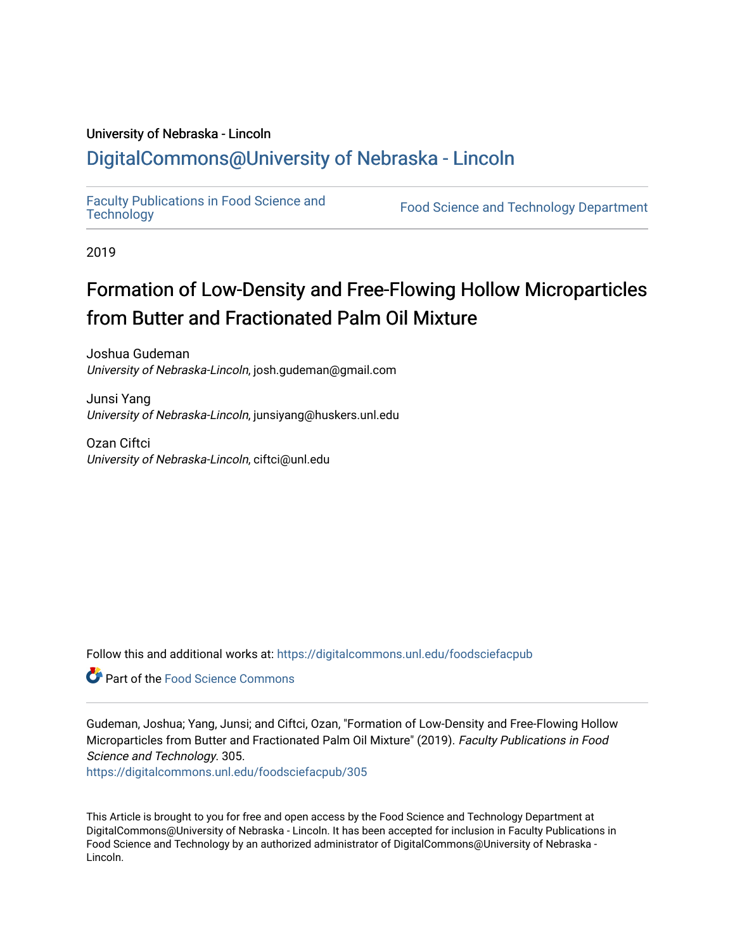# University of Nebraska - Lincoln [DigitalCommons@University of Nebraska - Lincoln](https://digitalcommons.unl.edu/)

[Faculty Publications in Food Science and](https://digitalcommons.unl.edu/foodsciefacpub)

Food Science and [Technology](https://digitalcommons.unl.edu/foodsciefacpub) Department

2019

# Formation of Low-Density and Free-Flowing Hollow Microparticles from Butter and Fractionated Palm Oil Mixture

Joshua Gudeman University of Nebraska-Lincoln, josh.gudeman@gmail.com

Junsi Yang University of Nebraska-Lincoln, junsiyang@huskers.unl.edu

Ozan Ciftci University of Nebraska-Lincoln, ciftci@unl.edu

Follow this and additional works at: [https://digitalcommons.unl.edu/foodsciefacpub](https://digitalcommons.unl.edu/foodsciefacpub?utm_source=digitalcommons.unl.edu%2Ffoodsciefacpub%2F305&utm_medium=PDF&utm_campaign=PDFCoverPages) 

Part of the [Food Science Commons](http://network.bepress.com/hgg/discipline/84?utm_source=digitalcommons.unl.edu%2Ffoodsciefacpub%2F305&utm_medium=PDF&utm_campaign=PDFCoverPages) 

Gudeman, Joshua; Yang, Junsi; and Ciftci, Ozan, "Formation of Low-Density and Free-Flowing Hollow Microparticles from Butter and Fractionated Palm Oil Mixture" (2019). Faculty Publications in Food Science and Technology. 305.

[https://digitalcommons.unl.edu/foodsciefacpub/305](https://digitalcommons.unl.edu/foodsciefacpub/305?utm_source=digitalcommons.unl.edu%2Ffoodsciefacpub%2F305&utm_medium=PDF&utm_campaign=PDFCoverPages)

This Article is brought to you for free and open access by the Food Science and Technology Department at DigitalCommons@University of Nebraska - Lincoln. It has been accepted for inclusion in Faculty Publications in Food Science and Technology by an authorized administrator of DigitalCommons@University of Nebraska - Lincoln.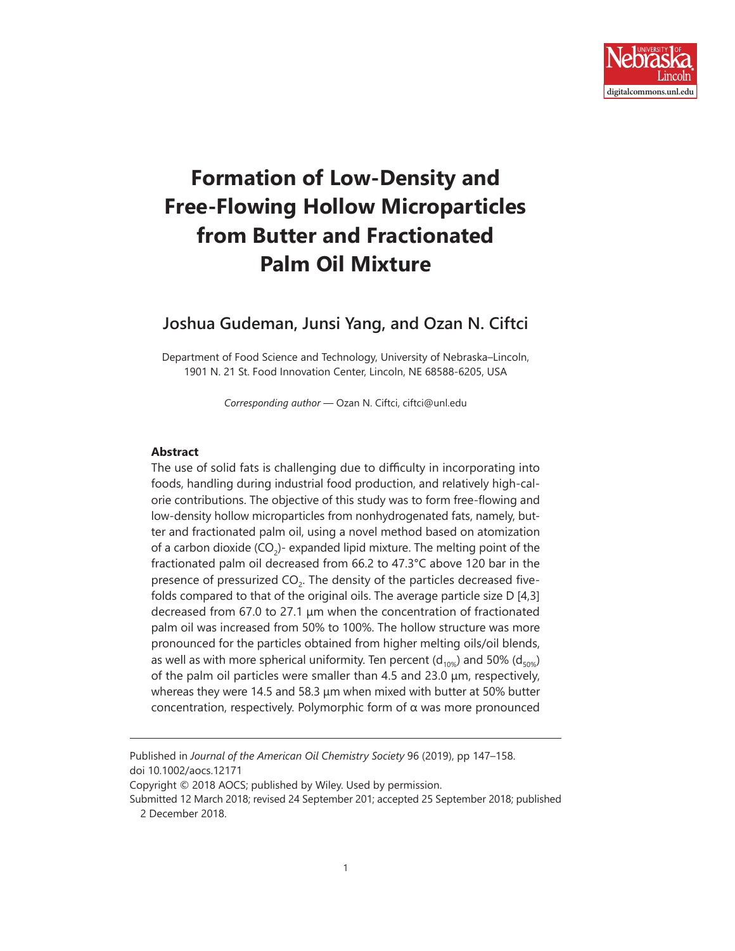

# **Formation of Low-Density and Free-Flowing Hollow Microparticles from Butter and Fractionated Palm Oil Mixture**

### **Joshua Gudeman, Junsi Yang, and Ozan N. Ciftci**

Department of Food Science and Technology, University of Nebraska–Lincoln, 1901 N. 21 St. Food Innovation Center, Lincoln, NE 68588-6205, USA

*Corresponding author* — Ozan N. Ciftci, ciftci@unl.edu

#### **Abstract**

The use of solid fats is challenging due to difficulty in incorporating into foods, handling during industrial food production, and relatively high-calorie contributions. The objective of this study was to form free-flowing and low-density hollow microparticles from nonhydrogenated fats, namely, butter and fractionated palm oil, using a novel method based on atomization of a carbon dioxide  $(CO<sub>2</sub>)$ - expanded lipid mixture. The melting point of the fractionated palm oil decreased from 66.2 to 47.3°C above 120 bar in the presence of pressurized CO<sub>2</sub>. The density of the particles decreased fivefolds compared to that of the original oils. The average particle size D [4,3] decreased from 67.0 to 27.1 μm when the concentration of fractionated palm oil was increased from 50% to 100%. The hollow structure was more pronounced for the particles obtained from higher melting oils/oil blends, as well as with more spherical uniformity. Ten percent ( $d_{10\%}$ ) and 50% ( $d_{50\%}$ ) of the palm oil particles were smaller than 4.5 and 23.0 μm, respectively, whereas they were 14.5 and 58.3 μm when mixed with butter at 50% butter concentration, respectively. Polymorphic form of α was more pronounced

Published in *Journal of the American Oil Chemistry Society* 96 (2019), pp 147–158. doi 10.1002/aocs.12171

Copyright © 2018 AOCS; published by Wiley. Used by permission.

Submitted 12 March 2018; revised 24 September 201; accepted 25 September 2018; published 2 December 2018.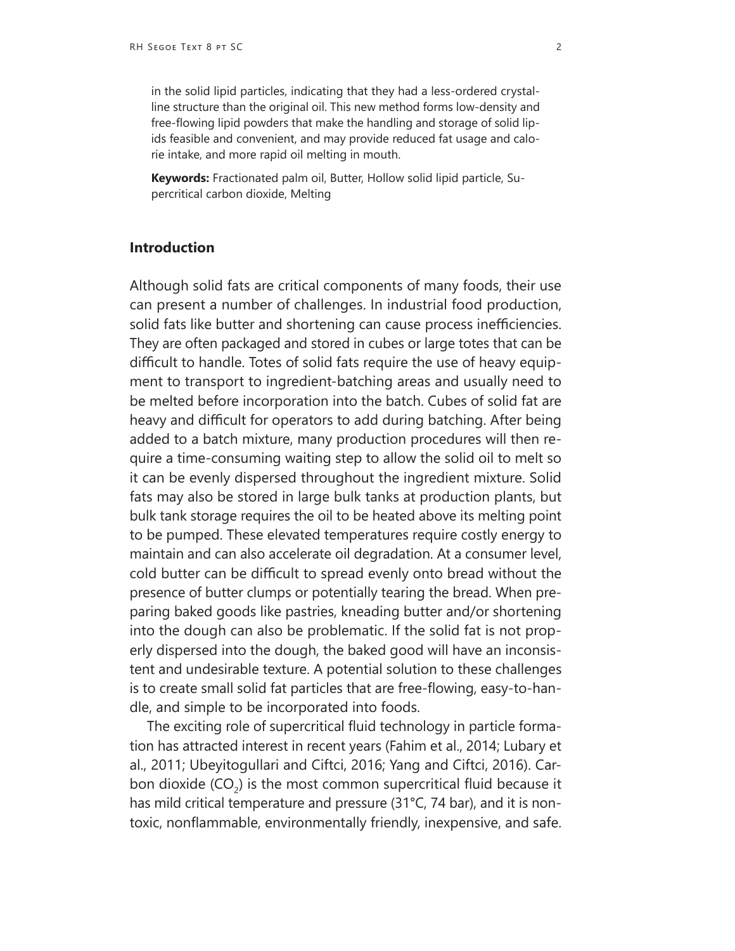in the solid lipid particles, indicating that they had a less-ordered crystalline structure than the original oil. This new method forms low-density and free-flowing lipid powders that make the handling and storage of solid lipids feasible and convenient, and may provide reduced fat usage and calorie intake, and more rapid oil melting in mouth.

**Keywords:** Fractionated palm oil, Butter, Hollow solid lipid particle, Supercritical carbon dioxide, Melting

#### **Introduction**

Although solid fats are critical components of many foods, their use can present a number of challenges. In industrial food production, solid fats like butter and shortening can cause process inefficiencies. They are often packaged and stored in cubes or large totes that can be difficult to handle. Totes of solid fats require the use of heavy equipment to transport to ingredient-batching areas and usually need to be melted before incorporation into the batch. Cubes of solid fat are heavy and difficult for operators to add during batching. After being added to a batch mixture, many production procedures will then require a time-consuming waiting step to allow the solid oil to melt so it can be evenly dispersed throughout the ingredient mixture. Solid fats may also be stored in large bulk tanks at production plants, but bulk tank storage requires the oil to be heated above its melting point to be pumped. These elevated temperatures require costly energy to maintain and can also accelerate oil degradation. At a consumer level, cold butter can be difficult to spread evenly onto bread without the presence of butter clumps or potentially tearing the bread. When preparing baked goods like pastries, kneading butter and/or shortening into the dough can also be problematic. If the solid fat is not properly dispersed into the dough, the baked good will have an inconsistent and undesirable texture. A potential solution to these challenges is to create small solid fat particles that are free-flowing, easy-to-handle, and simple to be incorporated into foods.

The exciting role of supercritical fluid technology in particle formation has attracted interest in recent years (Fahim et al., 2014; Lubary et al., 2011; Ubeyitogullari and Ciftci, 2016; Yang and Ciftci, 2016). Carbon dioxide  $(CO<sub>2</sub>)$  is the most common supercritical fluid because it has mild critical temperature and pressure (31°C, 74 bar), and it is nontoxic, nonflammable, environmentally friendly, inexpensive, and safe.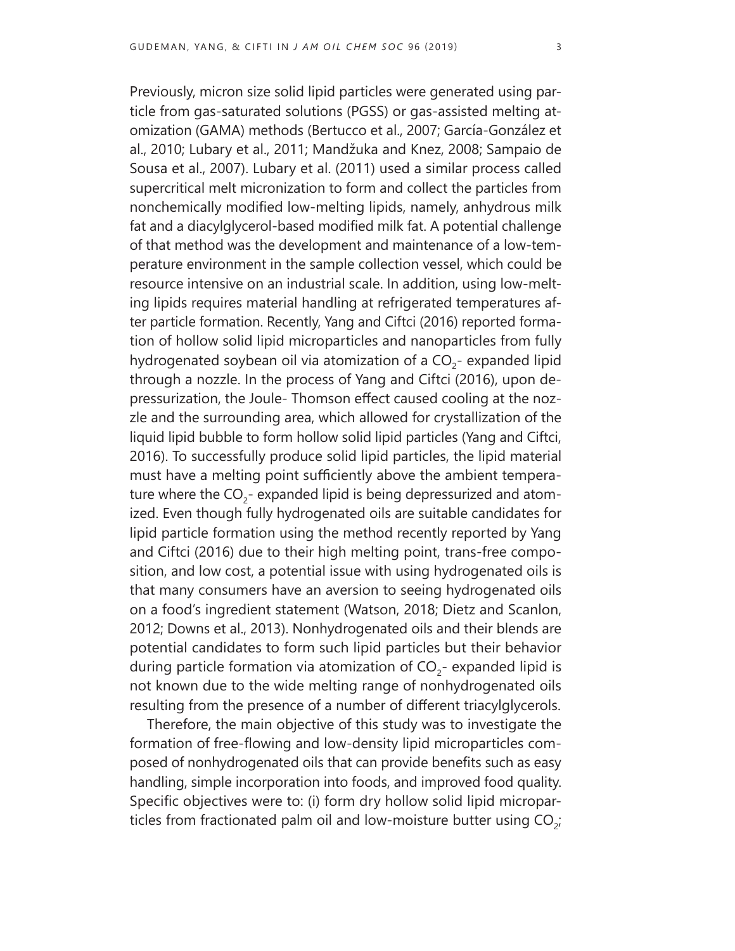Previously, micron size solid lipid particles were generated using particle from gas-saturated solutions (PGSS) or gas-assisted melting atomization (GAMA) methods (Bertucco et al., 2007; García-González et al., 2010; Lubary et al., 2011; Mandžuka and Knez, 2008; Sampaio de Sousa et al., 2007). Lubary et al. (2011) used a similar process called supercritical melt micronization to form and collect the particles from nonchemically modified low-melting lipids, namely, anhydrous milk fat and a diacylglycerol-based modified milk fat. A potential challenge of that method was the development and maintenance of a low-temperature environment in the sample collection vessel, which could be resource intensive on an industrial scale. In addition, using low-melting lipids requires material handling at refrigerated temperatures after particle formation. Recently, Yang and Ciftci (2016) reported formation of hollow solid lipid microparticles and nanoparticles from fully hydrogenated soybean oil via atomization of a  $CO<sub>2</sub>$ - expanded lipid through a nozzle. In the process of Yang and Ciftci (2016), upon depressurization, the Joule- Thomson effect caused cooling at the nozzle and the surrounding area, which allowed for crystallization of the liquid lipid bubble to form hollow solid lipid particles (Yang and Ciftci, 2016). To successfully produce solid lipid particles, the lipid material must have a melting point sufficiently above the ambient temperature where the  $CO<sub>2</sub>$ - expanded lipid is being depressurized and atomized. Even though fully hydrogenated oils are suitable candidates for lipid particle formation using the method recently reported by Yang and Ciftci (2016) due to their high melting point, trans-free composition, and low cost, a potential issue with using hydrogenated oils is that many consumers have an aversion to seeing hydrogenated oils on a food's ingredient statement (Watson, 2018; Dietz and Scanlon, 2012; Downs et al., 2013). Nonhydrogenated oils and their blends are potential candidates to form such lipid particles but their behavior during particle formation via atomization of  $CO<sub>2</sub>-$  expanded lipid is not known due to the wide melting range of nonhydrogenated oils resulting from the presence of a number of different triacylglycerols.

Therefore, the main objective of this study was to investigate the formation of free-flowing and low-density lipid microparticles composed of nonhydrogenated oils that can provide benefits such as easy handling, simple incorporation into foods, and improved food quality. Specific objectives were to: (i) form dry hollow solid lipid microparticles from fractionated palm oil and low-moisture butter using  $CO<sub>2</sub>$ ;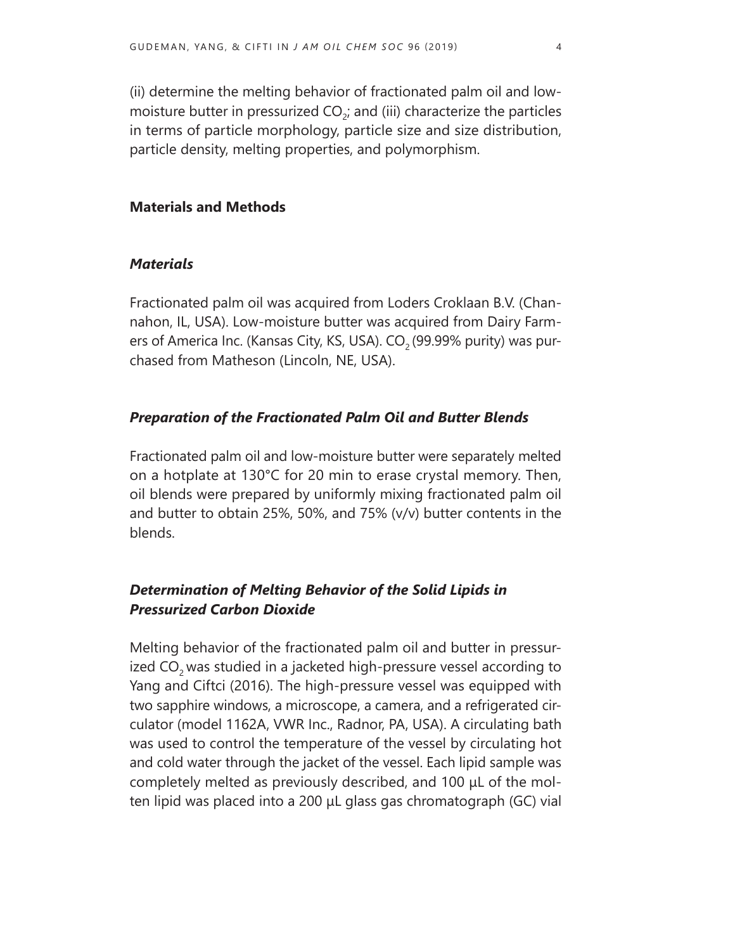(ii) determine the melting behavior of fractionated palm oil and lowmoisture butter in pressurized  $CO<sub>2</sub>$ ; and (iii) characterize the particles in terms of particle morphology, particle size and size distribution, particle density, melting properties, and polymorphism.

#### **Materials and Methods**

#### *Materials*

Fractionated palm oil was acquired from Loders Croklaan B.V. (Channahon, IL, USA). Low-moisture butter was acquired from Dairy Farmers of America Inc. (Kansas City, KS, USA).  $CO<sub>2</sub>$  (99.99% purity) was purchased from Matheson (Lincoln, NE, USA).

#### *Preparation of the Fractionated Palm Oil and Butter Blends*

Fractionated palm oil and low-moisture butter were separately melted on a hotplate at 130°C for 20 min to erase crystal memory. Then, oil blends were prepared by uniformly mixing fractionated palm oil and butter to obtain 25%, 50%, and 75% (v/v) butter contents in the blends.

### *Determination of Melting Behavior of the Solid Lipids in Pressurized Carbon Dioxide*

Melting behavior of the fractionated palm oil and butter in pressurized  $CO<sub>2</sub>$  was studied in a jacketed high-pressure vessel according to Yang and Ciftci (2016). The high-pressure vessel was equipped with two sapphire windows, a microscope, a camera, and a refrigerated circulator (model 1162A, VWR Inc., Radnor, PA, USA). A circulating bath was used to control the temperature of the vessel by circulating hot and cold water through the jacket of the vessel. Each lipid sample was completely melted as previously described, and 100 μL of the molten lipid was placed into a 200 μL glass gas chromatograph (GC) vial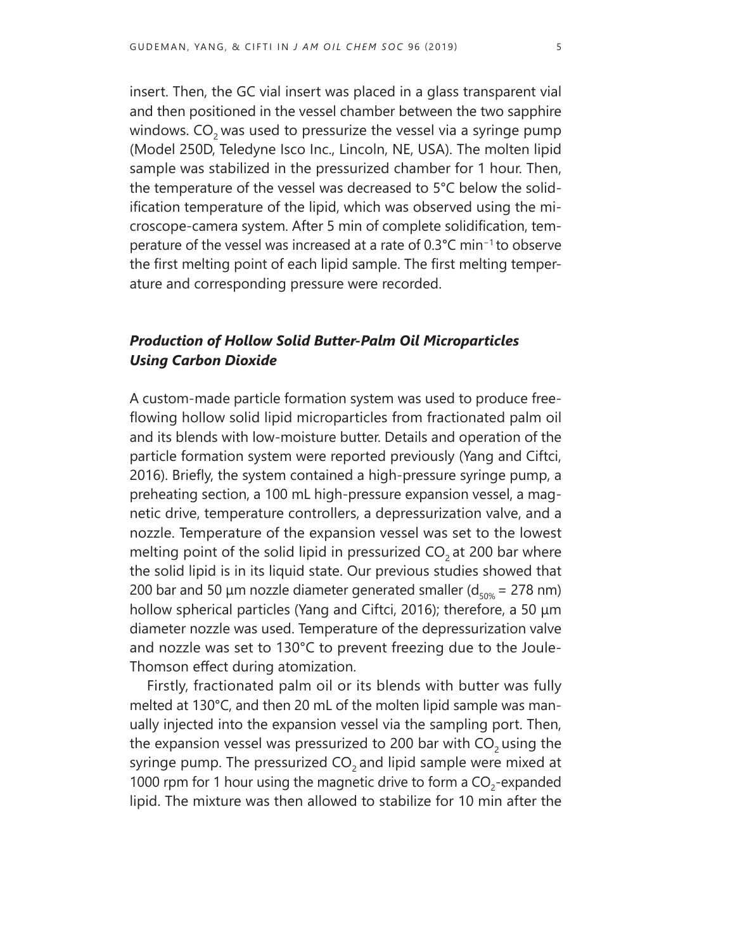insert. Then, the GC vial insert was placed in a glass transparent vial and then positioned in the vessel chamber between the two sapphire windows.  $CO<sub>2</sub>$  was used to pressurize the vessel via a syringe pump (Model 250D, Teledyne Isco Inc., Lincoln, NE, USA). The molten lipid sample was stabilized in the pressurized chamber for 1 hour. Then, the temperature of the vessel was decreased to 5°C below the solidification temperature of the lipid, which was observed using the microscope-camera system. After 5 min of complete solidification, temperature of the vessel was increased at a rate of 0.3°C min−1 to observe the first melting point of each lipid sample. The first melting temperature and corresponding pressure were recorded.

## *Production of Hollow Solid Butter-Palm Oil Microparticles Using Carbon Dioxide*

A custom-made particle formation system was used to produce freeflowing hollow solid lipid microparticles from fractionated palm oil and its blends with low-moisture butter. Details and operation of the particle formation system were reported previously (Yang and Ciftci, 2016). Briefly, the system contained a high-pressure syringe pump, a preheating section, a 100 mL high-pressure expansion vessel, a magnetic drive, temperature controllers, a depressurization valve, and a nozzle. Temperature of the expansion vessel was set to the lowest melting point of the solid lipid in pressurized  $CO<sub>2</sub>$  at 200 bar where the solid lipid is in its liquid state. Our previous studies showed that 200 bar and 50 µm nozzle diameter generated smaller ( $d_{50\%}$  = 278 nm) hollow spherical particles (Yang and Ciftci, 2016); therefore, a 50 μm diameter nozzle was used. Temperature of the depressurization valve and nozzle was set to 130°C to prevent freezing due to the Joule-Thomson effect during atomization.

Firstly, fractionated palm oil or its blends with butter was fully melted at 130°C, and then 20 mL of the molten lipid sample was manually injected into the expansion vessel via the sampling port. Then, the expansion vessel was pressurized to 200 bar with  $CO<sub>2</sub>$  using the syringe pump. The pressurized  $CO<sub>2</sub>$  and lipid sample were mixed at 1000 rpm for 1 hour using the magnetic drive to form a  $CO<sub>2</sub>$ -expanded lipid. The mixture was then allowed to stabilize for 10 min after the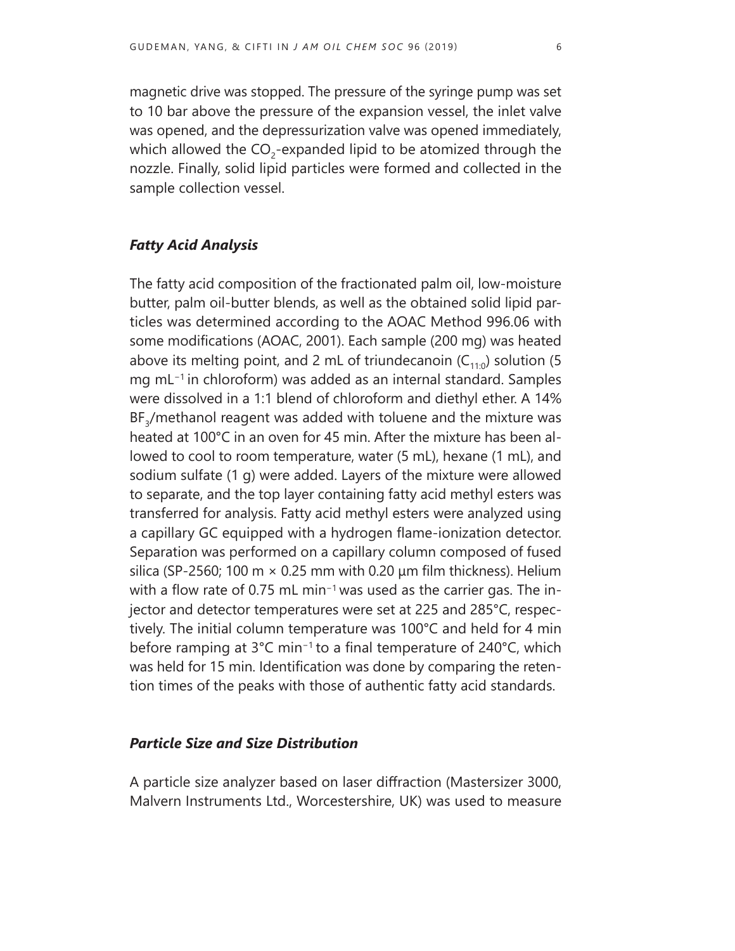magnetic drive was stopped. The pressure of the syringe pump was set to 10 bar above the pressure of the expansion vessel, the inlet valve was opened, and the depressurization valve was opened immediately, which allowed the  $CO<sub>2</sub>$ -expanded lipid to be atomized through the nozzle. Finally, solid lipid particles were formed and collected in the sample collection vessel.

#### *Fatty Acid Analysis*

The fatty acid composition of the fractionated palm oil, low-moisture butter, palm oil-butter blends, as well as the obtained solid lipid particles was determined according to the AOAC Method 996.06 with some modifications (AOAC, 2001). Each sample (200 mg) was heated above its melting point, and 2 mL of triundecanoin  $(C_{11:0})$  solution (5 mg mL−1 in chloroform) was added as an internal standard. Samples were dissolved in a 1:1 blend of chloroform and diethyl ether. A 14% BF<sub>3</sub>/methanol reagent was added with toluene and the mixture was heated at 100°C in an oven for 45 min. After the mixture has been allowed to cool to room temperature, water (5 mL), hexane (1 mL), and sodium sulfate (1 g) were added. Layers of the mixture were allowed to separate, and the top layer containing fatty acid methyl esters was transferred for analysis. Fatty acid methyl esters were analyzed using a capillary GC equipped with a hydrogen flame-ionization detector. Separation was performed on a capillary column composed of fused silica (SP-2560; 100 m  $\times$  0.25 mm with 0.20 µm film thickness). Helium with a flow rate of 0.75 mL min<sup>-1</sup> was used as the carrier gas. The injector and detector temperatures were set at 225 and 285°C, respectively. The initial column temperature was 100°C and held for 4 min before ramping at 3°C min−1 to a final temperature of 240°C, which was held for 15 min. Identification was done by comparing the retention times of the peaks with those of authentic fatty acid standards.

#### *Particle Size and Size Distribution*

A particle size analyzer based on laser diffraction (Mastersizer 3000, Malvern Instruments Ltd., Worcestershire, UK) was used to measure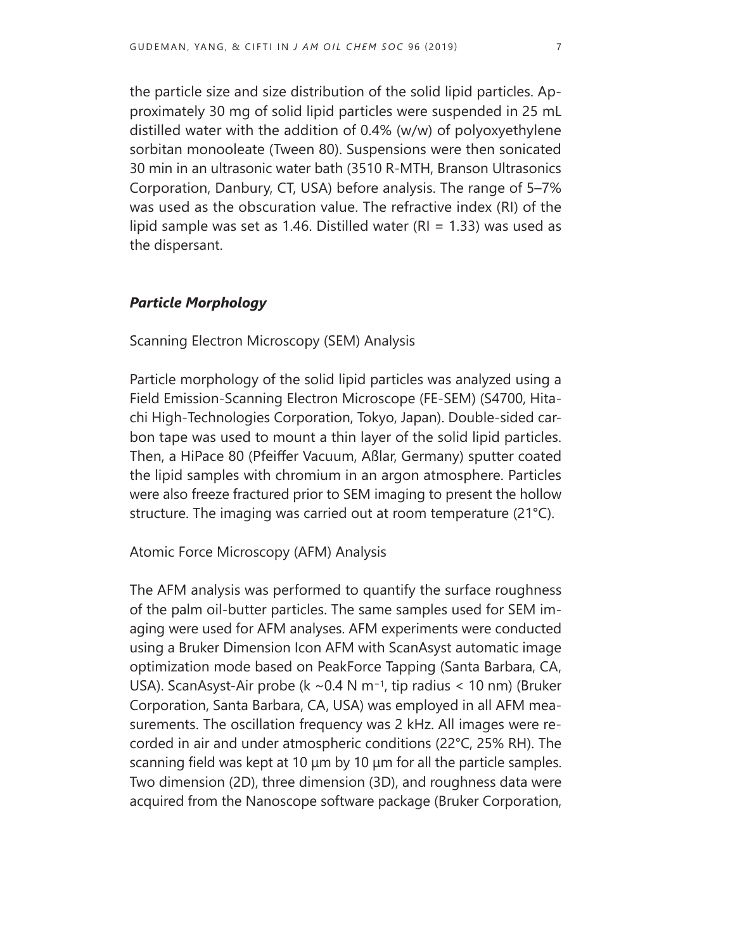the particle size and size distribution of the solid lipid particles. Approximately 30 mg of solid lipid particles were suspended in 25 mL distilled water with the addition of 0.4% (w/w) of polyoxyethylene sorbitan monooleate (Tween 80). Suspensions were then sonicated 30 min in an ultrasonic water bath (3510 R-MTH, Branson Ultrasonics Corporation, Danbury, CT, USA) before analysis. The range of 5–7% was used as the obscuration value. The refractive index (RI) of the lipid sample was set as 1.46. Distilled water (RI = 1.33) was used as the dispersant.

#### *Particle Morphology*

Scanning Electron Microscopy (SEM) Analysis

Particle morphology of the solid lipid particles was analyzed using a Field Emission-Scanning Electron Microscope (FE-SEM) (S4700, Hitachi High-Technologies Corporation, Tokyo, Japan). Double-sided carbon tape was used to mount a thin layer of the solid lipid particles. Then, a HiPace 80 (Pfeiffer Vacuum, Aßlar, Germany) sputter coated the lipid samples with chromium in an argon atmosphere. Particles were also freeze fractured prior to SEM imaging to present the hollow structure. The imaging was carried out at room temperature (21°C).

Atomic Force Microscopy (AFM) Analysis

The AFM analysis was performed to quantify the surface roughness of the palm oil-butter particles. The same samples used for SEM imaging were used for AFM analyses. AFM experiments were conducted using a Bruker Dimension Icon AFM with ScanAsyst automatic image optimization mode based on PeakForce Tapping (Santa Barbara, CA, USA). ScanAsyst-Air probe (k ~0.4 N m−1, tip radius < 10 nm) (Bruker Corporation, Santa Barbara, CA, USA) was employed in all AFM measurements. The oscillation frequency was 2 kHz. All images were recorded in air and under atmospheric conditions (22°C, 25% RH). The scanning field was kept at 10 μm by 10 μm for all the particle samples. Two dimension (2D), three dimension (3D), and roughness data were acquired from the Nanoscope software package (Bruker Corporation,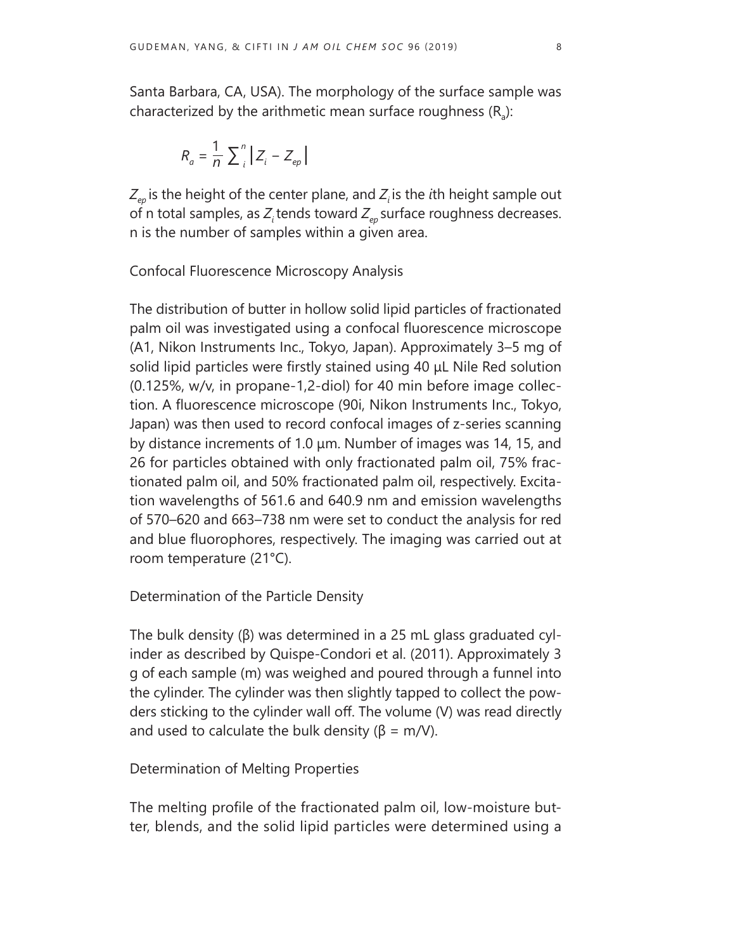Santa Barbara, CA, USA). The morphology of the surface sample was characterized by the arithmetic mean surface roughness  $(R_a)$ :

$$
R_a = \frac{1}{n} \sum_{i}^{n} |Z_i - Z_{ep}|
$$

 $Z_{ep}$  is the height of the center plane, and  $Z_i$  is the *i*th height sample out of n total samples, as  $Z_i$  tends toward  $Z_{ep}$  surface roughness decreases. n is the number of samples within a given area.

Confocal Fluorescence Microscopy Analysis

The distribution of butter in hollow solid lipid particles of fractionated palm oil was investigated using a confocal fluorescence microscope (A1, Nikon Instruments Inc., Tokyo, Japan). Approximately 3–5 mg of solid lipid particles were firstly stained using 40 μL Nile Red solution (0.125%, w/v, in propane-1,2-diol) for 40 min before image collection. A fluorescence microscope (90i, Nikon Instruments Inc., Tokyo, Japan) was then used to record confocal images of z-series scanning by distance increments of 1.0 μm. Number of images was 14, 15, and 26 for particles obtained with only fractionated palm oil, 75% fractionated palm oil, and 50% fractionated palm oil, respectively. Excitation wavelengths of 561.6 and 640.9 nm and emission wavelengths of 570–620 and 663–738 nm were set to conduct the analysis for red and blue fluorophores, respectively. The imaging was carried out at room temperature (21°C).

Determination of the Particle Density

The bulk density (β) was determined in a 25 mL glass graduated cylinder as described by Quispe-Condori et al. (2011). Approximately 3 g of each sample (m) was weighed and poured through a funnel into the cylinder. The cylinder was then slightly tapped to collect the powders sticking to the cylinder wall off. The volume (V) was read directly and used to calculate the bulk density ( $β = m/V$ ).

Determination of Melting Properties

The melting profile of the fractionated palm oil, low-moisture butter, blends, and the solid lipid particles were determined using a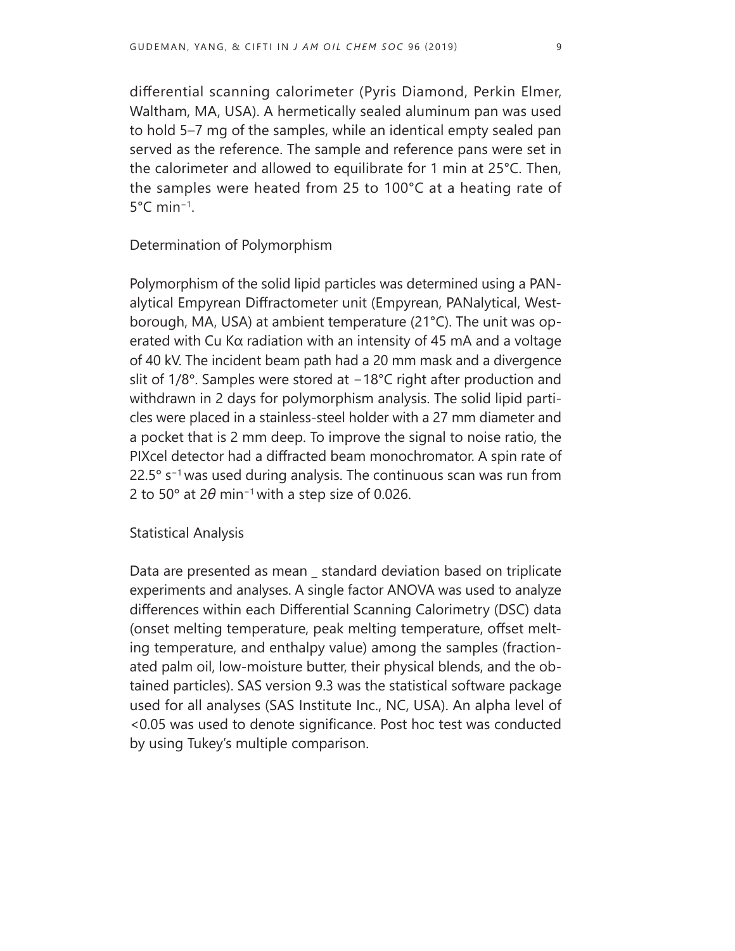differential scanning calorimeter (Pyris Diamond, Perkin Elmer, Waltham, MA, USA). A hermetically sealed aluminum pan was used to hold 5–7 mg of the samples, while an identical empty sealed pan served as the reference. The sample and reference pans were set in the calorimeter and allowed to equilibrate for 1 min at 25°C. Then, the samples were heated from 25 to 100°C at a heating rate of 5°C min−1.

#### Determination of Polymorphism

Polymorphism of the solid lipid particles was determined using a PANalytical Empyrean Diffractometer unit (Empyrean, PANalytical, Westborough, MA, USA) at ambient temperature (21°C). The unit was operated with Cu K $\alpha$  radiation with an intensity of 45 mA and a voltage of 40 kV. The incident beam path had a 20 mm mask and a divergence slit of 1/8°. Samples were stored at −18°C right after production and withdrawn in 2 days for polymorphism analysis. The solid lipid particles were placed in a stainless-steel holder with a 27 mm diameter and a pocket that is 2 mm deep. To improve the signal to noise ratio, the PIXcel detector had a diffracted beam monochromator. A spin rate of 22.5° s<sup>-1</sup> was used during analysis. The continuous scan was run from 2 to 50° at 2*θ* min−1 with a step size of 0.026.

#### Statistical Analysis

Data are presented as mean \_ standard deviation based on triplicate experiments and analyses. A single factor ANOVA was used to analyze differences within each Differential Scanning Calorimetry (DSC) data (onset melting temperature, peak melting temperature, offset melting temperature, and enthalpy value) among the samples (fractionated palm oil, low-moisture butter, their physical blends, and the obtained particles). SAS version 9.3 was the statistical software package used for all analyses (SAS Institute Inc., NC, USA). An alpha level of <0.05 was used to denote significance. Post hoc test was conducted by using Tukey's multiple comparison.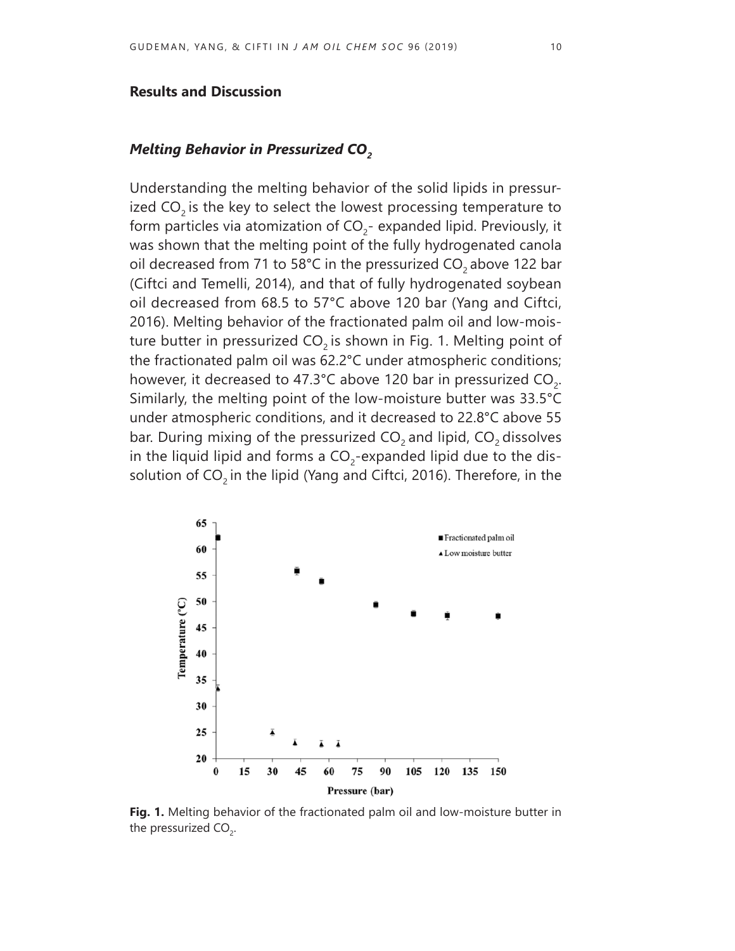#### **Results and Discussion**

#### *Melting Behavior in Pressurized CO<sub>2</sub>*

Understanding the melting behavior of the solid lipids in pressurized  $CO<sub>2</sub>$  is the key to select the lowest processing temperature to form particles via atomization of  $CO<sub>2</sub>$ - expanded lipid. Previously, it was shown that the melting point of the fully hydrogenated canola oil decreased from 71 to 58°C in the pressurized  $CO<sub>2</sub>$  above 122 bar (Ciftci and Temelli, 2014), and that of fully hydrogenated soybean oil decreased from 68.5 to 57°C above 120 bar (Yang and Ciftci, 2016). Melting behavior of the fractionated palm oil and low-moisture butter in pressurized  $CO<sub>2</sub>$  is shown in Fig. 1. Melting point of the fractionated palm oil was 62.2°C under atmospheric conditions; however, it decreased to 47.3°C above 120 bar in pressurized  $CO<sub>2</sub>$ . Similarly, the melting point of the low-moisture butter was 33.5°C under atmospheric conditions, and it decreased to 22.8°C above 55 bar. During mixing of the pressurized CO<sub>2</sub> and lipid, CO<sub>2</sub> dissolves in the liquid lipid and forms a  $CO<sub>2</sub>$ -expanded lipid due to the dissolution of  $CO<sub>2</sub>$  in the lipid (Yang and Ciftci, 2016). Therefore, in the



**Fig. 1.** Melting behavior of the fractionated palm oil and low-moisture butter in the pressurized  $CO<sub>2</sub>$ .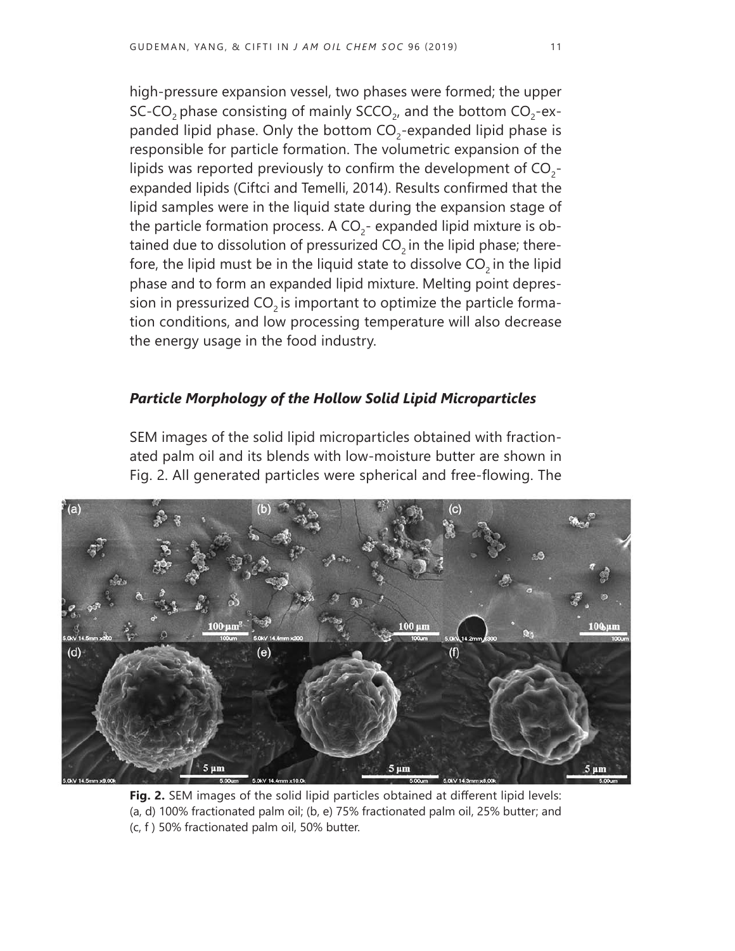high-pressure expansion vessel, two phases were formed; the upper SC-CO<sub>2</sub> phase consisting of mainly SCCO<sub>2</sub>, and the bottom CO<sub>2</sub>-expanded lipid phase. Only the bottom  $CO_2$ -expanded lipid phase is responsible for particle formation. The volumetric expansion of the lipids was reported previously to confirm the development of  $CO<sub>2</sub>$ expanded lipids (Ciftci and Temelli, 2014). Results confirmed that the lipid samples were in the liquid state during the expansion stage of the particle formation process. A  $CO<sub>2</sub>$ - expanded lipid mixture is obtained due to dissolution of pressurized  $CO<sub>2</sub>$  in the lipid phase; therefore, the lipid must be in the liquid state to dissolve  $CO<sub>2</sub>$  in the lipid phase and to form an expanded lipid mixture. Melting point depression in pressurized  $CO<sub>2</sub>$  is important to optimize the particle formation conditions, and low processing temperature will also decrease the energy usage in the food industry.

#### *Particle Morphology of the Hollow Solid Lipid Microparticles*

SEM images of the solid lipid microparticles obtained with fractionated palm oil and its blends with low-moisture butter are shown in Fig. 2. All generated particles were spherical and free-flowing. The



**Fig. 2.** SEM images of the solid lipid particles obtained at different lipid levels: (a, d) 100% fractionated palm oil; (b, e) 75% fractionated palm oil, 25% butter; and (c, f ) 50% fractionated palm oil, 50% butter.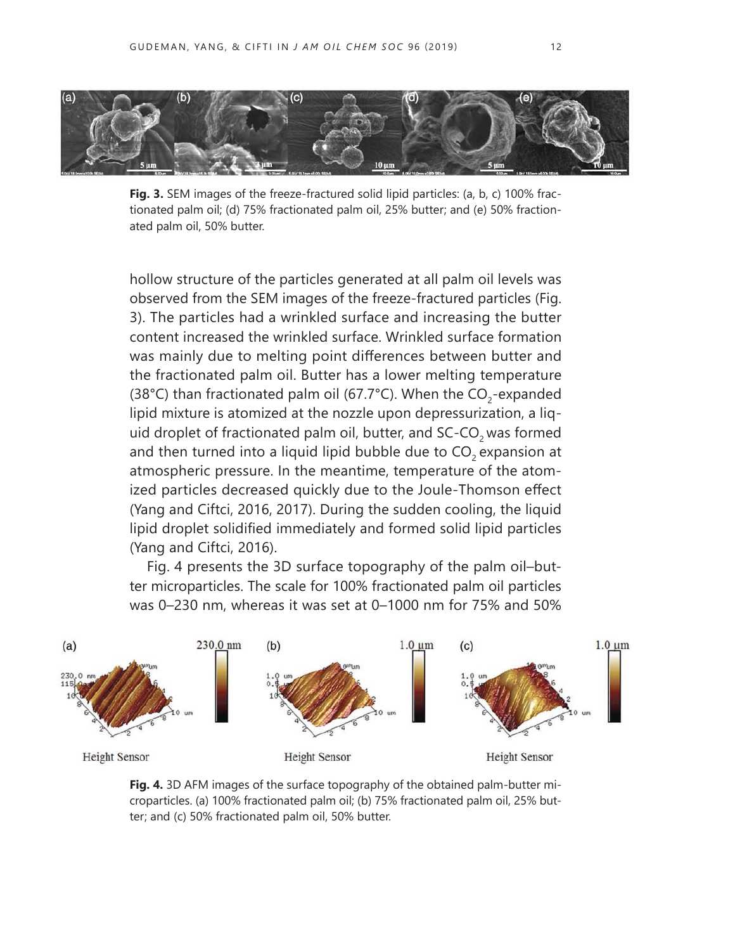

Fig. 3. SEM images of the freeze-fractured solid lipid particles: (a, b, c) 100% fractionated palm oil; (d) 75% fractionated palm oil, 25% butter; and (e) 50% fractionated palm oil, 50% butter.

hollow structure of the particles generated at all palm oil levels was observed from the SEM images of the freeze-fractured particles (Fig. 3). The particles had a wrinkled surface and increasing the butter content increased the wrinkled surface. Wrinkled surface formation was mainly due to melting point differences between butter and the fractionated palm oil. Butter has a lower melting temperature (38 $^{\circ}$ C) than fractionated palm oil (67.7 $^{\circ}$ C). When the CO<sub>2</sub>-expanded lipid mixture is atomized at the nozzle upon depressurization, a liquid droplet of fractionated palm oil, butter, and  $SC\text{-}CO<sub>2</sub>$  was formed and then turned into a liquid lipid bubble due to  $CO<sub>2</sub>$  expansion at atmospheric pressure. In the meantime, temperature of the atomized particles decreased quickly due to the Joule-Thomson effect (Yang and Ciftci, 2016, 2017). During the sudden cooling, the liquid lipid droplet solidified immediately and formed solid lipid particles (Yang and Ciftci, 2016).

Fig. 4 presents the 3D surface topography of the palm oil–butter microparticles. The scale for 100% fractionated palm oil particles was 0–230 nm, whereas it was set at 0–1000 nm for 75% and 50%



**Fig. 4.** 3D AFM images of the surface topography of the obtained palm-butter microparticles. (a) 100% fractionated palm oil; (b) 75% fractionated palm oil, 25% butter; and (c) 50% fractionated palm oil, 50% butter.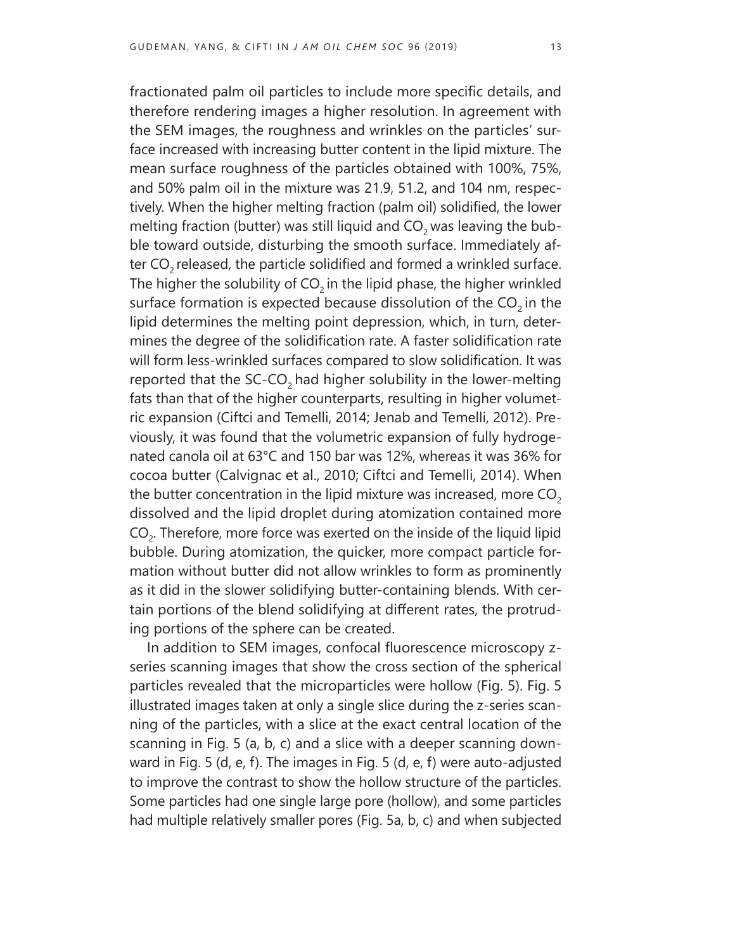fractionated palm oil particles to include more specific details, and therefore rendering images a higher resolution. In agreement with the SEM images, the roughness and wrinkles on the particles' surface increased with increasing butter content in the lipid mixture. The mean surface roughness of the particles obtained with 100%, 75%, and 50% palm oil in the mixture was 21.9, 51.2, and 104 nm, respectively. When the higher melting fraction (palm oil) solidified, the lower melting fraction (butter) was still liquid and  $CO<sub>2</sub>$  was leaving the bubble toward outside, disturbing the smooth surface. Immediately after CO<sub>2</sub> released, the particle solidified and formed a wrinkled surface. The higher the solubility of  $CO<sub>2</sub>$  in the lipid phase, the higher wrinkled surface formation is expected because dissolution of the  $CO<sub>2</sub>$  in the lipid determines the melting point depression, which, in turn, determines the degree of the solidification rate. A faster solidification rate will form less-wrinkled surfaces compared to slow solidification. It was reported that the  $SC$ - $CO<sub>2</sub>$  had higher solubility in the lower-melting fats than that of the higher counterparts, resulting in higher volumetric expansion (Ciftci and Temelli, 2014; Jenab and Temelli, 2012). Previously, it was found that the volumetric expansion of fully hydrogenated canola oil at 63°C and 150 bar was 12%, whereas it was 36% for cocoa butter (Calvignac et al., 2010; Ciftci and Temelli, 2014). When the butter concentration in the lipid mixture was increased, more  $CO<sub>2</sub>$ dissolved and the lipid droplet during atomization contained more  $CO<sub>2</sub>$ . Therefore, more force was exerted on the inside of the liquid lipid bubble. During atomization, the quicker, more compact particle formation without butter did not allow wrinkles to form as prominently as it did in the slower solidifying butter-containing blends. With certain portions of the blend solidifying at different rates, the protruding portions of the sphere can be created.

In addition to SEM images, confocal fluorescence microscopy zseries scanning images that show the cross section of the spherical particles revealed that the microparticles were hollow (Fig. 5). Fig. 5 illustrated images taken at only a single slice during the z-series scanning of the particles, with a slice at the exact central location of the scanning in Fig. 5 (a, b, c) and a slice with a deeper scanning downward in Fig. 5 (d, e, f). The images in Fig. 5 (d, e, f) were auto-adjusted to improve the contrast to show the hollow structure of the particles. Some particles had one single large pore (hollow), and some particles had multiple relatively smaller pores (Fig. 5a, b, c) and when subjected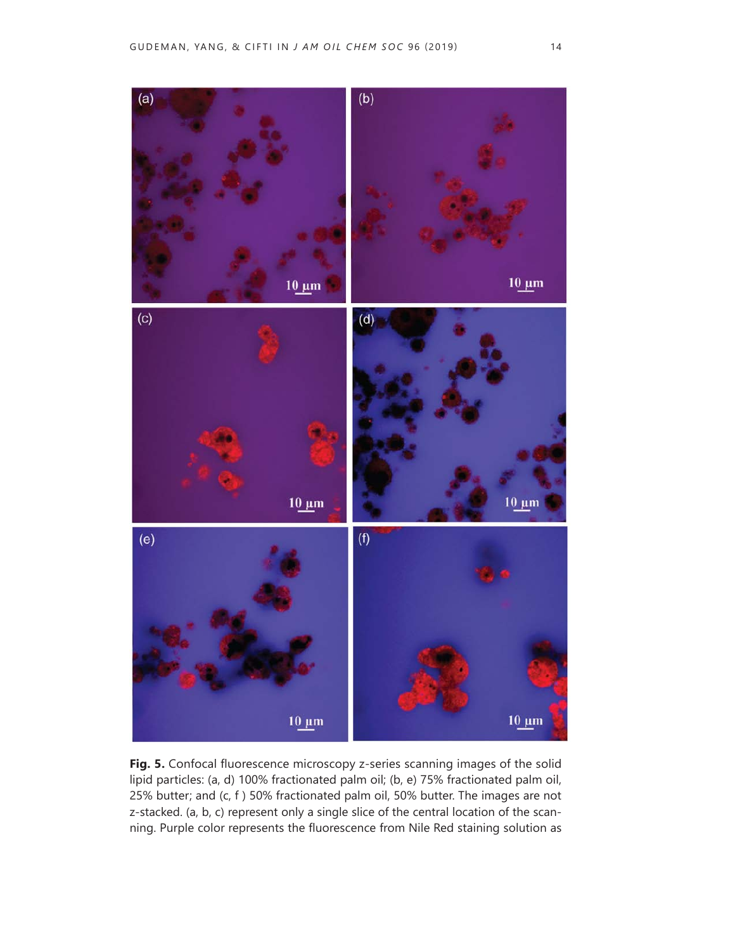

**Fig. 5.** Confocal fluorescence microscopy z-series scanning images of the solid lipid particles: (a, d) 100% fractionated palm oil; (b, e) 75% fractionated palm oil, 25% butter; and (c, f ) 50% fractionated palm oil, 50% butter. The images are not z-stacked. (a, b, c) represent only a single slice of the central location of the scanning. Purple color represents the fluorescence from Nile Red staining solution as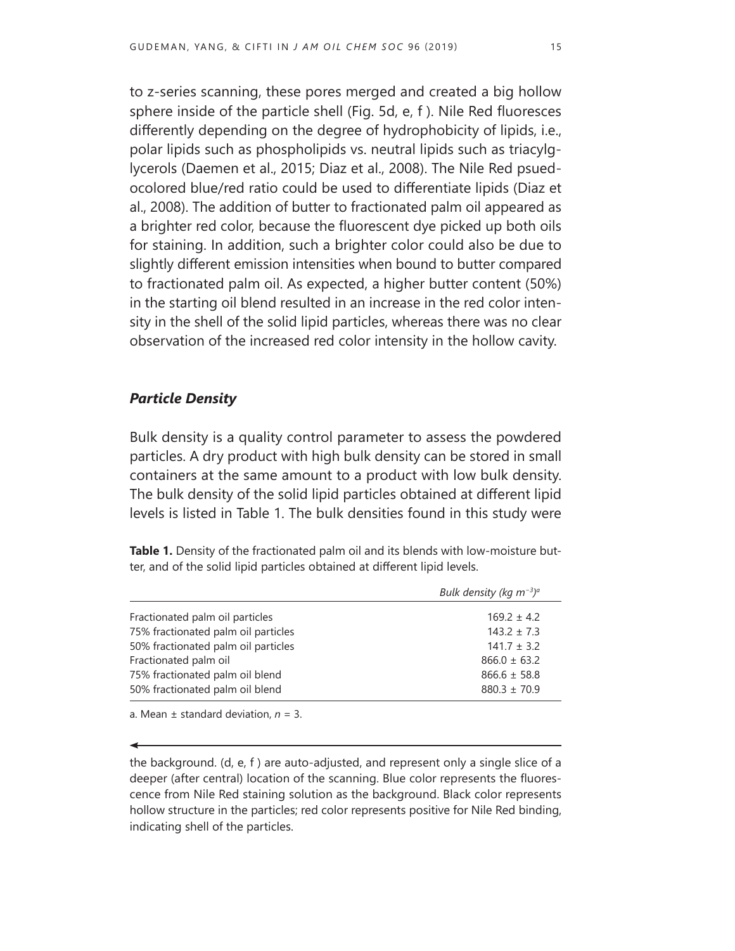to z-series scanning, these pores merged and created a big hollow sphere inside of the particle shell (Fig. 5d, e, f ). Nile Red fluoresces differently depending on the degree of hydrophobicity of lipids, i.e., polar lipids such as phospholipids vs. neutral lipids such as triacylglycerols (Daemen et al., 2015; Diaz et al., 2008). The Nile Red psuedocolored blue/red ratio could be used to differentiate lipids (Diaz et al., 2008). The addition of butter to fractionated palm oil appeared as a brighter red color, because the fluorescent dye picked up both oils for staining. In addition, such a brighter color could also be due to slightly different emission intensities when bound to butter compared to fractionated palm oil. As expected, a higher butter content (50%) in the starting oil blend resulted in an increase in the red color intensity in the shell of the solid lipid particles, whereas there was no clear observation of the increased red color intensity in the hollow cavity.

#### *Particle Density*

Bulk density is a quality control parameter to assess the powdered particles. A dry product with high bulk density can be stored in small containers at the same amount to a product with low bulk density. The bulk density of the solid lipid particles obtained at different lipid levels is listed in Table 1. The bulk densities found in this study were

**Table 1.** Density of the fractionated palm oil and its blends with low-moisture butter, and of the solid lipid particles obtained at different lipid levels.

|                                     | Bulk density (kg $m^{-3}$ ) <sup>a</sup> |  |  |  |
|-------------------------------------|------------------------------------------|--|--|--|
| Fractionated palm oil particles     | $169.2 \pm 4.2$                          |  |  |  |
| 75% fractionated palm oil particles | $143.2 \pm 7.3$                          |  |  |  |
| 50% fractionated palm oil particles | $141.7 \pm 3.2$                          |  |  |  |
| Fractionated palm oil               | $866.0 \pm 63.2$                         |  |  |  |
| 75% fractionated palm oil blend     | $866.6 \pm 58.8$                         |  |  |  |
| 50% fractionated palm oil blend     | $880.3 \pm 70.9$                         |  |  |  |

a. Mean ± standard deviation, *n* = 3.

the background. (d, e, f ) are auto-adjusted, and represent only a single slice of a deeper (after central) location of the scanning. Blue color represents the fluorescence from Nile Red staining solution as the background. Black color represents hollow structure in the particles; red color represents positive for Nile Red binding, indicating shell of the particles.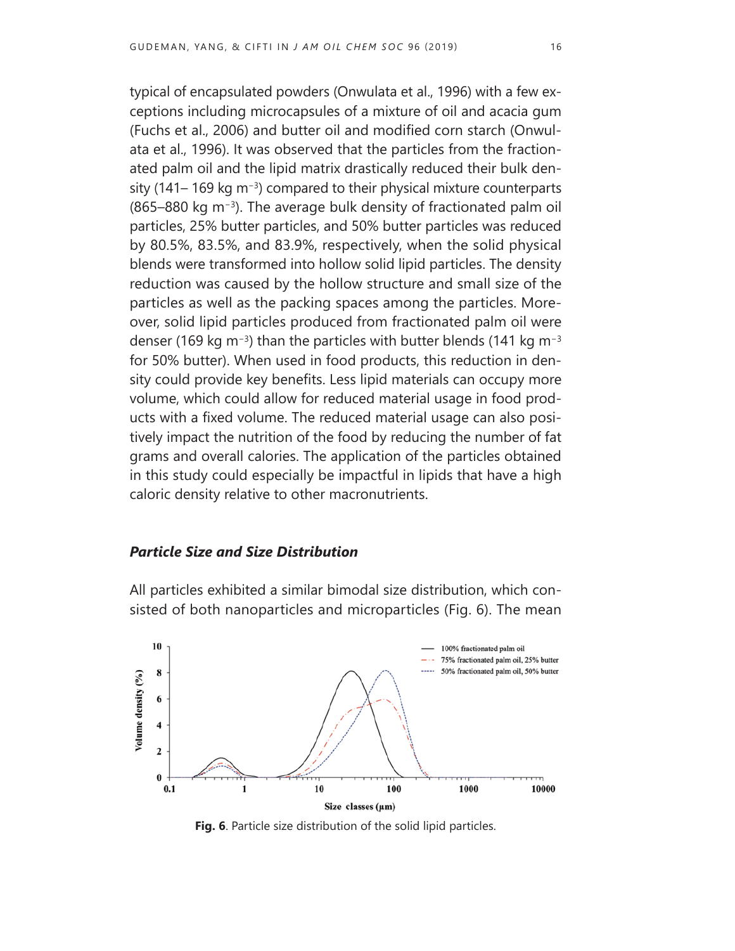typical of encapsulated powders (Onwulata et al., 1996) with a few exceptions including microcapsules of a mixture of oil and acacia gum (Fuchs et al., 2006) and butter oil and modified corn starch (Onwulata et al., 1996). It was observed that the particles from the fractionated palm oil and the lipid matrix drastically reduced their bulk density (141– 169 kg m−3) compared to their physical mixture counterparts (865–880 kg m−3). The average bulk density of fractionated palm oil particles, 25% butter particles, and 50% butter particles was reduced by 80.5%, 83.5%, and 83.9%, respectively, when the solid physical blends were transformed into hollow solid lipid particles. The density reduction was caused by the hollow structure and small size of the particles as well as the packing spaces among the particles. Moreover, solid lipid particles produced from fractionated palm oil were denser (169 kg m<sup>-3</sup>) than the particles with butter blends (141 kg m<sup>-3</sup> for 50% butter). When used in food products, this reduction in density could provide key benefits. Less lipid materials can occupy more volume, which could allow for reduced material usage in food products with a fixed volume. The reduced material usage can also positively impact the nutrition of the food by reducing the number of fat grams and overall calories. The application of the particles obtained in this study could especially be impactful in lipids that have a high caloric density relative to other macronutrients.

#### *Particle Size and Size Distribution*



All particles exhibited a similar bimodal size distribution, which consisted of both nanoparticles and microparticles (Fig. 6). The mean

**Fig. 6**. Particle size distribution of the solid lipid particles.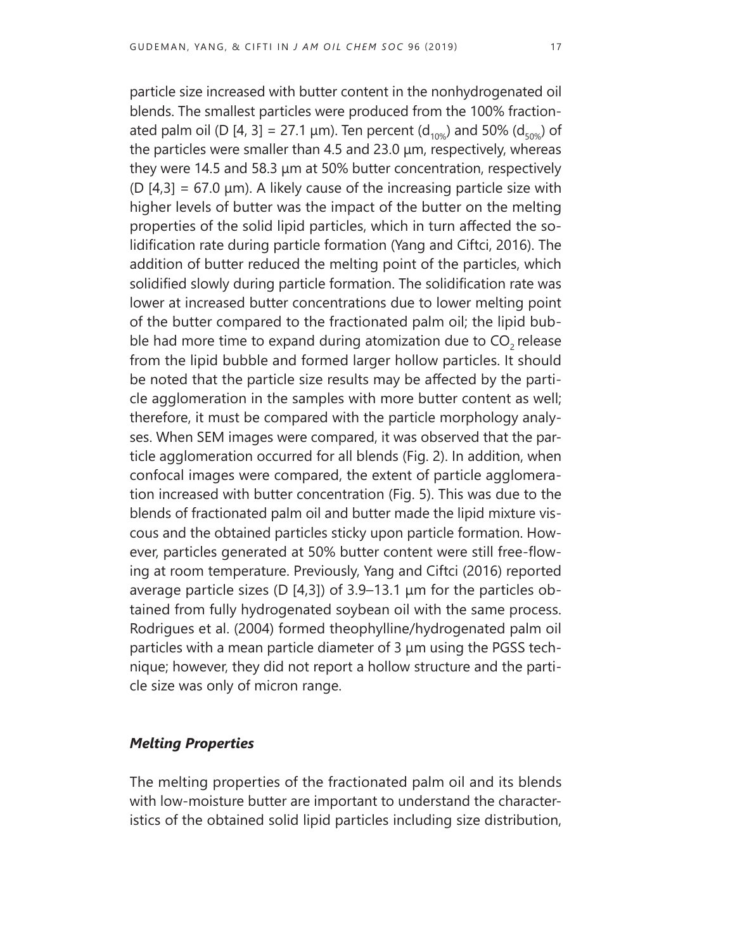particle size increased with butter content in the nonhydrogenated oil blends. The smallest particles were produced from the 100% fractionated palm oil (D [4, 3] = 27.1 µm). Ten percent (d<sub>10%</sub>) and 50% (d<sub>50%</sub>) of the particles were smaller than 4.5 and 23.0 μm, respectively, whereas they were 14.5 and 58.3 μm at 50% butter concentration, respectively (D  $[4,3] = 67.0 \mu m$ ). A likely cause of the increasing particle size with higher levels of butter was the impact of the butter on the melting properties of the solid lipid particles, which in turn affected the solidification rate during particle formation (Yang and Ciftci, 2016). The addition of butter reduced the melting point of the particles, which solidified slowly during particle formation. The solidification rate was lower at increased butter concentrations due to lower melting point of the butter compared to the fractionated palm oil; the lipid bubble had more time to expand during atomization due to  $CO<sub>2</sub>$  release from the lipid bubble and formed larger hollow particles. It should be noted that the particle size results may be affected by the particle agglomeration in the samples with more butter content as well; therefore, it must be compared with the particle morphology analyses. When SEM images were compared, it was observed that the particle agglomeration occurred for all blends (Fig. 2). In addition, when confocal images were compared, the extent of particle agglomeration increased with butter concentration (Fig. 5). This was due to the blends of fractionated palm oil and butter made the lipid mixture viscous and the obtained particles sticky upon particle formation. However, particles generated at 50% butter content were still free-flowing at room temperature. Previously, Yang and Ciftci (2016) reported average particle sizes (D [4,3]) of 3.9–13.1 μm for the particles obtained from fully hydrogenated soybean oil with the same process. Rodrigues et al. (2004) formed theophylline/hydrogenated palm oil particles with a mean particle diameter of 3 μm using the PGSS technique; however, they did not report a hollow structure and the particle size was only of micron range.

#### *Melting Properties*

The melting properties of the fractionated palm oil and its blends with low-moisture butter are important to understand the characteristics of the obtained solid lipid particles including size distribution,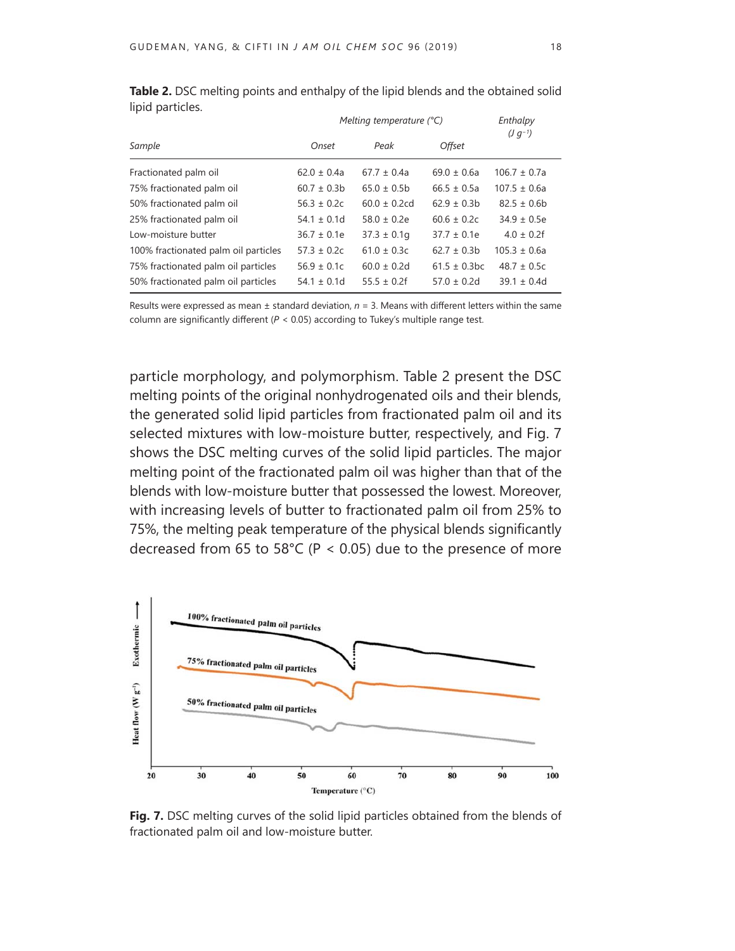|                 | Enthalpy          |                   |                          |
|-----------------|-------------------|-------------------|--------------------------|
| Onset           | Peak              | Offset            | $(J q^{-1})$             |
| $62.0 \pm 0.4a$ | $67.7 \pm 0.4a$   | $69.0 \pm 0.6a$   | $106.7 \pm 0.7a$         |
| $60.7 \pm 0.3b$ | $65.0 \pm 0.5$ b  | $66.5 \pm 0.5a$   | $107.5 \pm 0.6a$         |
| $56.3 \pm 0.2c$ | $60.0 \pm 0.2$ cd | $62.9 \pm 0.3b$   | $82.5 \pm 0.6$ b         |
| $54.1 \pm 0.1d$ | $58.0 \pm 0.2e$   | $60.6 \pm 0.2c$   | $34.9 \pm 0.5e$          |
| $36.7 \pm 0.1e$ | $37.3 \pm 0.1q$   | $37.7 \pm 0.1e$   | $4.0 \pm 0.2f$           |
| $57.3 \pm 0.2c$ | $61.0 \pm 0.3c$   | $62.7 \pm 0.3b$   | $105.3 \pm 0.6a$         |
| $56.9 \pm 0.1c$ | $60.0 \pm 0.2$ d  | $61.5 \pm 0.3$ bc | $48.7 \pm 0.5c$          |
| $54.1 \pm 0.1d$ | $55.5 \pm 0.2f$   | $57.0 \pm 0.2d$   | $39.1 \pm 0.4d$          |
|                 |                   |                   | Melting temperature (°C) |

**Table 2.** DSC melting points and enthalpy of the lipid blends and the obtained solid lipid particles.

Results were expressed as mean ± standard deviation, *n* = 3. Means with different letters within the same column are significantly different (*P* < 0.05) according to Tukey's multiple range test.

particle morphology, and polymorphism. Table 2 present the DSC melting points of the original nonhydrogenated oils and their blends, the generated solid lipid particles from fractionated palm oil and its selected mixtures with low-moisture butter, respectively, and Fig. 7 shows the DSC melting curves of the solid lipid particles. The major melting point of the fractionated palm oil was higher than that of the blends with low-moisture butter that possessed the lowest. Moreover, with increasing levels of butter to fractionated palm oil from 25% to 75%, the melting peak temperature of the physical blends significantly decreased from 65 to 58°C (P < 0.05) due to the presence of more



**Fig. 7.** DSC melting curves of the solid lipid particles obtained from the blends of fractionated palm oil and low-moisture butter.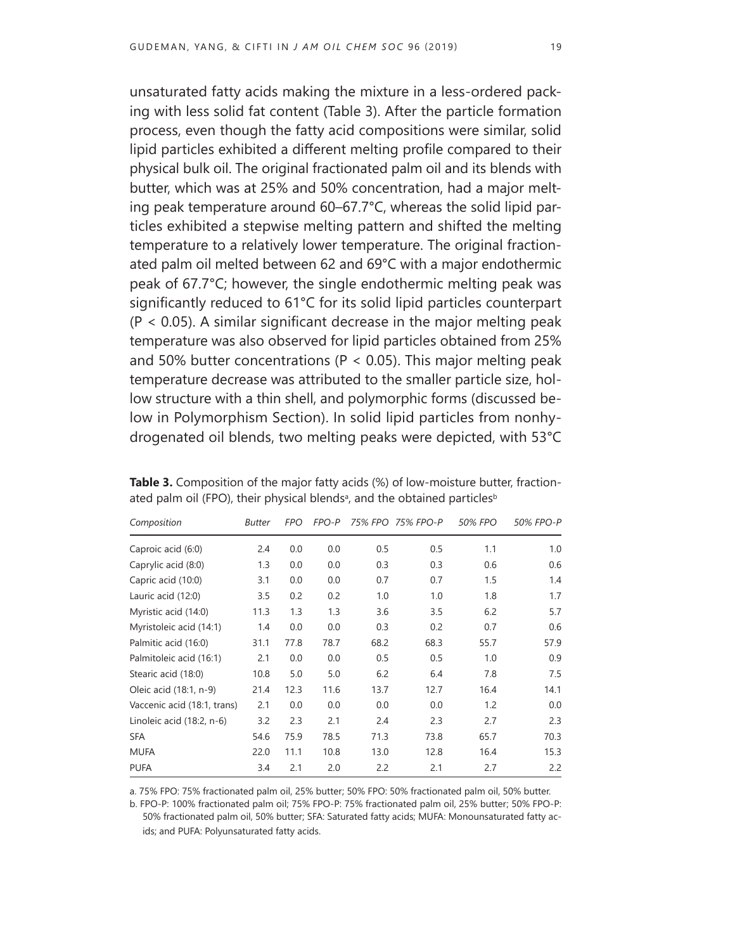unsaturated fatty acids making the mixture in a less-ordered packing with less solid fat content (Table 3). After the particle formation process, even though the fatty acid compositions were similar, solid lipid particles exhibited a different melting profile compared to their physical bulk oil. The original fractionated palm oil and its blends with butter, which was at 25% and 50% concentration, had a major melting peak temperature around 60–67.7°C, whereas the solid lipid particles exhibited a stepwise melting pattern and shifted the melting temperature to a relatively lower temperature. The original fractionated palm oil melted between 62 and 69°C with a major endothermic peak of 67.7°C; however, the single endothermic melting peak was significantly reduced to 61°C for its solid lipid particles counterpart (P < 0.05). A similar significant decrease in the major melting peak temperature was also observed for lipid particles obtained from 25% and 50% butter concentrations ( $P < 0.05$ ). This major melting peak temperature decrease was attributed to the smaller particle size, hollow structure with a thin shell, and polymorphic forms (discussed below in Polymorphism Section). In solid lipid particles from nonhydrogenated oil blends, two melting peaks were depicted, with 53°C

| Composition                 | Butter | <b>FPO</b> | FPO-P |      | 75% FPO 75% FPO-P | 50% FPO | 50% FPO-P |
|-----------------------------|--------|------------|-------|------|-------------------|---------|-----------|
| Caproic acid (6:0)          | 2.4    | 0.0        | 0.0   | 0.5  | 0.5               | 1.1     | 1.0       |
| Caprylic acid (8:0)         | 1.3    | 0.0        | 0.0   | 0.3  | 0.3               | 0.6     | 0.6       |
| Capric acid (10:0)          | 3.1    | 0.0        | 0.0   | 0.7  | 0.7               | 1.5     | 1.4       |
| Lauric acid (12:0)          | 3.5    | 0.2        | 0.2   | 1.0  | 1.0               | 1.8     | 1.7       |
| Myristic acid (14:0)        | 11.3   | 1.3        | 1.3   | 3.6  | 3.5               | 6.2     | 5.7       |
| Myristoleic acid (14:1)     | 1.4    | 0.0        | 0.0   | 0.3  | 0.2               | 0.7     | 0.6       |
| Palmitic acid (16:0)        | 31.1   | 77.8       | 78.7  | 68.2 | 68.3              | 55.7    | 57.9      |
| Palmitoleic acid (16:1)     | 2.1    | 0.0        | 0.0   | 0.5  | 0.5               | 1.0     | 0.9       |
| Stearic acid (18:0)         | 10.8   | 5.0        | 5.0   | 6.2  | 6.4               | 7.8     | 7.5       |
| Oleic acid (18:1, n-9)      | 21.4   | 12.3       | 11.6  | 13.7 | 12.7              | 16.4    | 14.1      |
| Vaccenic acid (18:1, trans) | 2.1    | 0.0        | 0.0   | 0.0  | 0.0               | 1.2     | 0.0       |
| Linoleic acid (18:2, n-6)   | 3.2    | 2.3        | 2.1   | 2.4  | 2.3               | 2.7     | 2.3       |
| <b>SFA</b>                  | 54.6   | 75.9       | 78.5  | 71.3 | 73.8              | 65.7    | 70.3      |
| <b>MUFA</b>                 | 22.0   | 11.1       | 10.8  | 13.0 | 12.8              | 16.4    | 15.3      |
| <b>PUFA</b>                 | 3.4    | 2.1        | 2.0   | 2.2  | 2.1               | 2.7     | 2.2       |

**Table 3.** Composition of the major fatty acids (%) of low-moisture butter, fractionated palm oil (FPO), their physical blends<sup>a</sup>, and the obtained particles<sup>b</sup>

a. 75% FPO: 75% fractionated palm oil, 25% butter; 50% FPO: 50% fractionated palm oil, 50% butter.

b. FPO-P: 100% fractionated palm oil; 75% FPO-P: 75% fractionated palm oil, 25% butter; 50% FPO-P: 50% fractionated palm oil, 50% butter; SFA: Saturated fatty acids; MUFA: Monounsaturated fatty acids; and PUFA: Polyunsaturated fatty acids.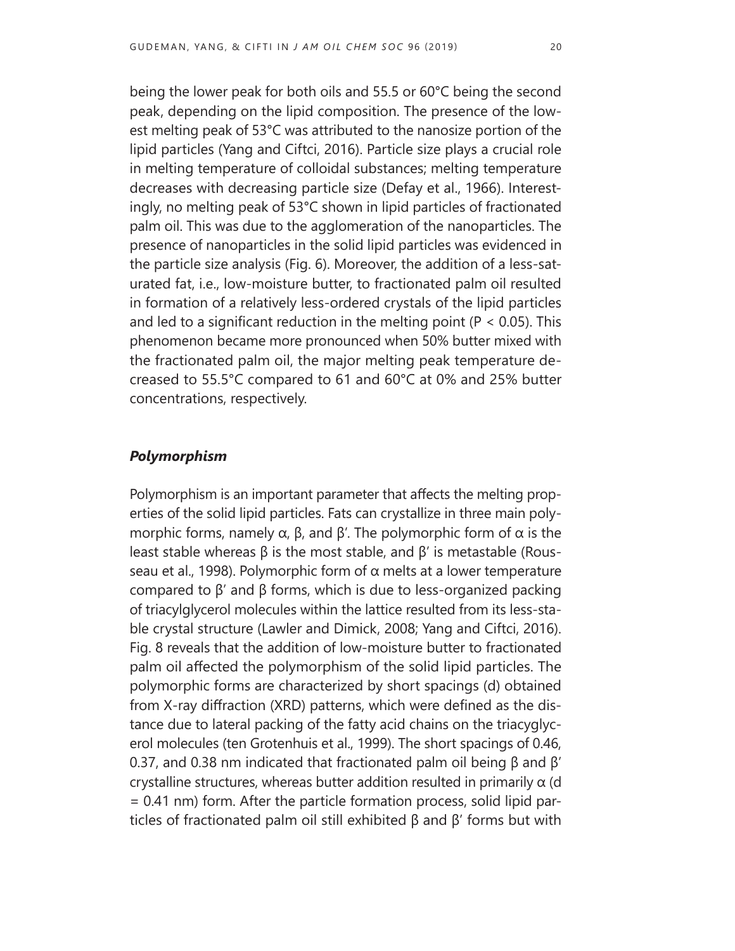being the lower peak for both oils and 55.5 or 60°C being the second peak, depending on the lipid composition. The presence of the lowest melting peak of 53°C was attributed to the nanosize portion of the lipid particles (Yang and Ciftci, 2016). Particle size plays a crucial role in melting temperature of colloidal substances; melting temperature decreases with decreasing particle size (Defay et al., 1966). Interestingly, no melting peak of 53°C shown in lipid particles of fractionated palm oil. This was due to the agglomeration of the nanoparticles. The presence of nanoparticles in the solid lipid particles was evidenced in the particle size analysis (Fig. 6). Moreover, the addition of a less-saturated fat, i.e., low-moisture butter, to fractionated palm oil resulted in formation of a relatively less-ordered crystals of the lipid particles and led to a significant reduction in the melting point ( $P < 0.05$ ). This phenomenon became more pronounced when 50% butter mixed with the fractionated palm oil, the major melting peak temperature decreased to 55.5°C compared to 61 and 60°C at 0% and 25% butter concentrations, respectively.

#### *Polymorphism*

Polymorphism is an important parameter that affects the melting properties of the solid lipid particles. Fats can crystallize in three main polymorphic forms, namely  $\alpha$ ,  $\beta$ , and  $\beta'$ . The polymorphic form of  $\alpha$  is the least stable whereas β is the most stable, and β' is metastable (Rousseau et al., 1998). Polymorphic form of α melts at a lower temperature compared to β' and β forms, which is due to less-organized packing of triacylglycerol molecules within the lattice resulted from its less-stable crystal structure (Lawler and Dimick, 2008; Yang and Ciftci, 2016). Fig. 8 reveals that the addition of low-moisture butter to fractionated palm oil affected the polymorphism of the solid lipid particles. The polymorphic forms are characterized by short spacings (d) obtained from X-ray diffraction (XRD) patterns, which were defined as the distance due to lateral packing of the fatty acid chains on the triacyglycerol molecules (ten Grotenhuis et al., 1999). The short spacings of 0.46, 0.37, and 0.38 nm indicated that fractionated palm oil being β and β' crystalline structures, whereas butter addition resulted in primarily  $\alpha$  (d = 0.41 nm) form. After the particle formation process, solid lipid particles of fractionated palm oil still exhibited β and β' forms but with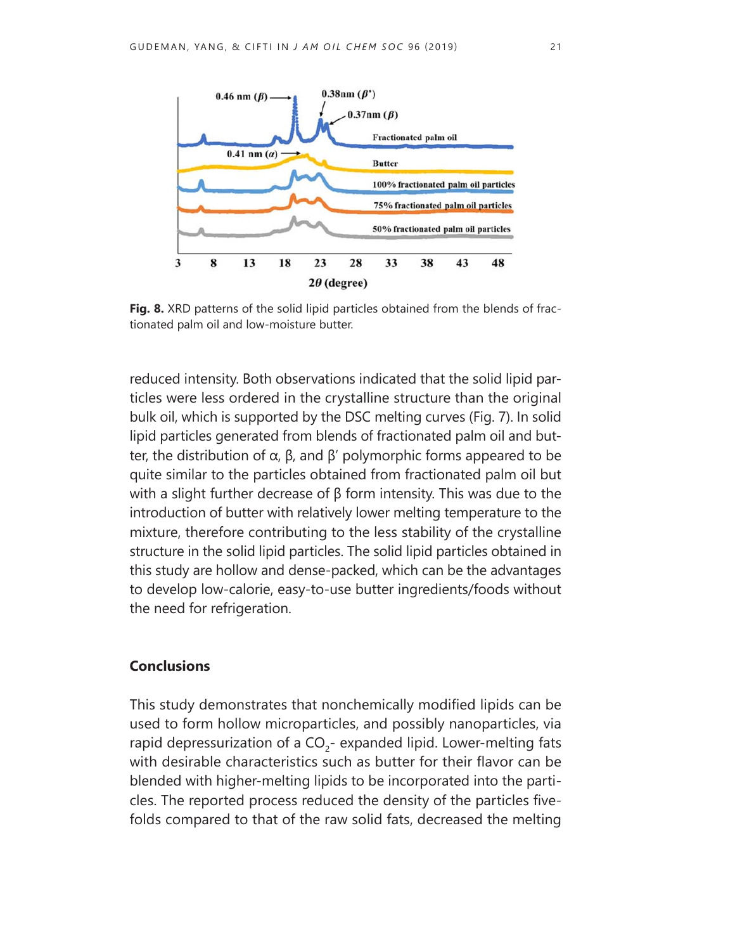

**Fig. 8.** XRD patterns of the solid lipid particles obtained from the blends of fractionated palm oil and low-moisture butter.

reduced intensity. Both observations indicated that the solid lipid particles were less ordered in the crystalline structure than the original bulk oil, which is supported by the DSC melting curves (Fig. 7). In solid lipid particles generated from blends of fractionated palm oil and butter, the distribution of α, β, and β' polymorphic forms appeared to be quite similar to the particles obtained from fractionated palm oil but with a slight further decrease of β form intensity. This was due to the introduction of butter with relatively lower melting temperature to the mixture, therefore contributing to the less stability of the crystalline structure in the solid lipid particles. The solid lipid particles obtained in this study are hollow and dense-packed, which can be the advantages to develop low-calorie, easy-to-use butter ingredients/foods without the need for refrigeration.

#### **Conclusions**

This study demonstrates that nonchemically modified lipids can be used to form hollow microparticles, and possibly nanoparticles, via rapid depressurization of a  $CO<sub>2</sub>$ - expanded lipid. Lower-melting fats with desirable characteristics such as butter for their flavor can be blended with higher-melting lipids to be incorporated into the particles. The reported process reduced the density of the particles fivefolds compared to that of the raw solid fats, decreased the melting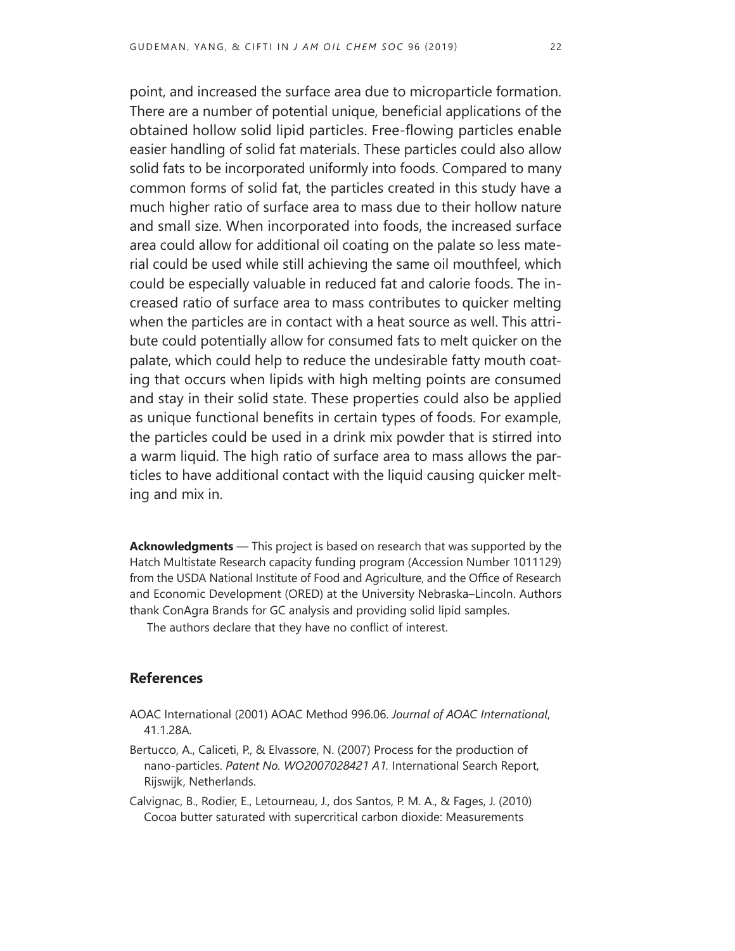point, and increased the surface area due to microparticle formation. There are a number of potential unique, beneficial applications of the obtained hollow solid lipid particles. Free-flowing particles enable easier handling of solid fat materials. These particles could also allow solid fats to be incorporated uniformly into foods. Compared to many common forms of solid fat, the particles created in this study have a much higher ratio of surface area to mass due to their hollow nature and small size. When incorporated into foods, the increased surface area could allow for additional oil coating on the palate so less material could be used while still achieving the same oil mouthfeel, which could be especially valuable in reduced fat and calorie foods. The increased ratio of surface area to mass contributes to quicker melting when the particles are in contact with a heat source as well. This attribute could potentially allow for consumed fats to melt quicker on the palate, which could help to reduce the undesirable fatty mouth coating that occurs when lipids with high melting points are consumed and stay in their solid state. These properties could also be applied as unique functional benefits in certain types of foods. For example, the particles could be used in a drink mix powder that is stirred into a warm liquid. The high ratio of surface area to mass allows the particles to have additional contact with the liquid causing quicker melting and mix in.

**Acknowledgments** — This project is based on research that was supported by the Hatch Multistate Research capacity funding program (Accession Number 1011129) from the USDA National Institute of Food and Agriculture, and the Office of Research and Economic Development (ORED) at the University Nebraska–Lincoln. Authors thank ConAgra Brands for GC analysis and providing solid lipid samples.

The authors declare that they have no conflict of interest.

#### **References**

- AOAC International (2001) AOAC Method 996.06. *Journal of AOAC International*, 41.1.28A.
- Bertucco, A., Caliceti, P., & Elvassore, N. (2007) Process for the production of nano-particles. *Patent No. WO2007028421 A1.* International Search Report, Rijswijk, Netherlands.
- Calvignac, B., Rodier, E., Letourneau, J., dos Santos, P. M. A., & Fages, J. (2010) Cocoa butter saturated with supercritical carbon dioxide: Measurements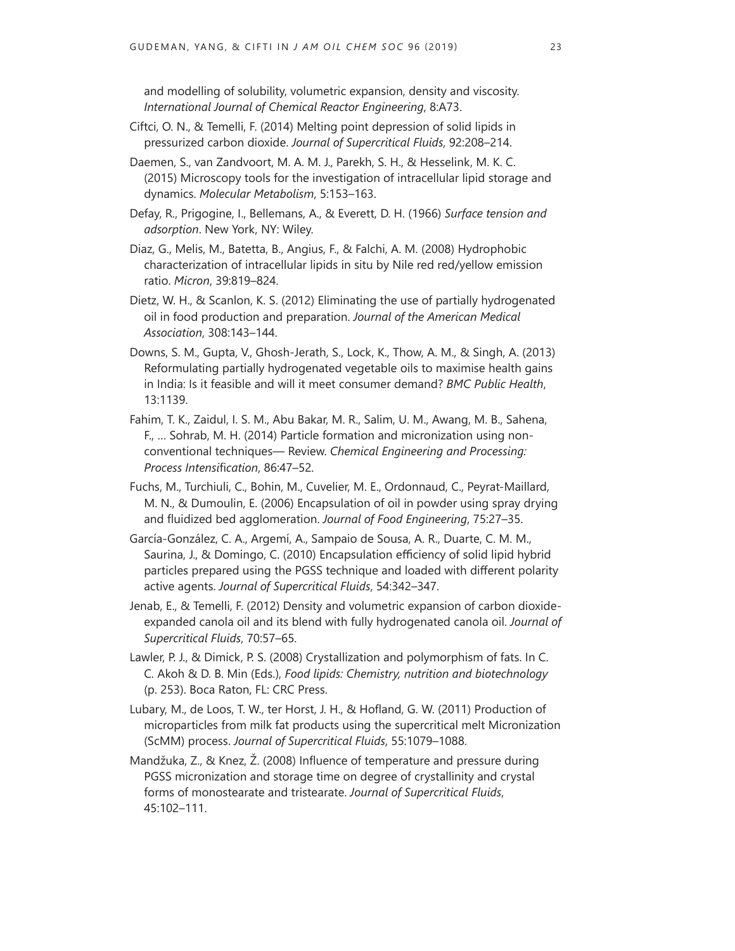and modelling of solubility, volumetric expansion, density and viscosity. *International Journal of Chemical Reactor Engineering*, 8:A73.

- Ciftci, O. N., & Temelli, F. (2014) Melting point depression of solid lipids in pressurized carbon dioxide. *Journal of Supercritical Fluids*, 92:208–214.
- Daemen, S., van Zandvoort, M. A. M. J., Parekh, S. H., & Hesselink, M. K. C. (2015) Microscopy tools for the investigation of intracellular lipid storage and dynamics. *Molecular Metabolism*, 5:153–163.
- Defay, R., Prigogine, I., Bellemans, A., & Everett, D. H. (1966) *Surface tension and adsorption*. New York, NY: Wiley.
- Diaz, G., Melis, M., Batetta, B., Angius, F., & Falchi, A. M. (2008) Hydrophobic characterization of intracellular lipids in situ by Nile red red/yellow emission ratio. *Micron*, 39:819–824.
- Dietz, W. H., & Scanlon, K. S. (2012) Eliminating the use of partially hydrogenated oil in food production and preparation. *Journal of the American Medical Association*, 308:143–144.
- Downs, S. M., Gupta, V., Ghosh-Jerath, S., Lock, K., Thow, A. M., & Singh, A. (2013) Reformulating partially hydrogenated vegetable oils to maximise health gains in India: Is it feasible and will it meet consumer demand? *BMC Public Health*, 13:1139.
- Fahim, T. K., Zaidul, I. S. M., Abu Bakar, M. R., Salim, U. M., Awang, M. B., Sahena, F., … Sohrab, M. H. (2014) Particle formation and micronization using nonconventional techniques— Review. *Chemical Engineering and Processing: Process Intensi*fi*cation*, 86:47–52.
- Fuchs, M., Turchiuli, C., Bohin, M., Cuvelier, M. E., Ordonnaud, C., Peyrat-Maillard, M. N., & Dumoulin, E. (2006) Encapsulation of oil in powder using spray drying and fluidized bed agglomeration. *Journal of Food Engineering*, 75:27–35.
- García-González, C. A., Argemí, A., Sampaio de Sousa, A. R., Duarte, C. M. M., Saurina, J., & Domingo, C. (2010) Encapsulation efficiency of solid lipid hybrid particles prepared using the PGSS technique and loaded with different polarity active agents. *Journal of Supercritical Fluids*, 54:342–347.
- Jenab, E., & Temelli, F. (2012) Density and volumetric expansion of carbon dioxideexpanded canola oil and its blend with fully hydrogenated canola oil. *Journal of Supercritical Fluids*, 70:57–65.
- Lawler, P. J., & Dimick, P. S. (2008) Crystallization and polymorphism of fats. In C. C. Akoh & D. B. Min (Eds.), *Food lipids: Chemistry, nutrition and biotechnology*  (p. 253). Boca Raton, FL: CRC Press.
- Lubary, M., de Loos, T. W., ter Horst, J. H., & Hofland, G. W. (2011) Production of microparticles from milk fat products using the supercritical melt Micronization (ScMM) process. *Journal of Supercritical Fluids*, 55:1079–1088.
- Mandžuka, Z., & Knez, Ž. (2008) Influence of temperature and pressure during PGSS micronization and storage time on degree of crystallinity and crystal forms of monostearate and tristearate. *Journal of Supercritical Fluids*, 45:102–111.